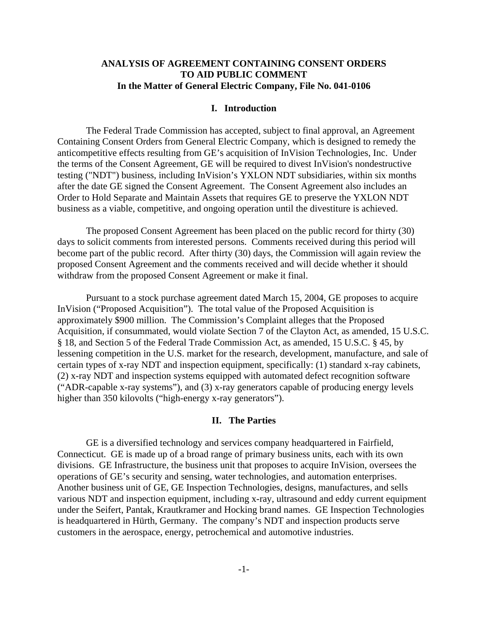# **ANALYSIS OF AGREEMENT CONTAINING CONSENT ORDERS TO AID PUBLIC COMMENT In the Matter of General Electric Company, File No. 041-0106**

#### **I. Introduction**

The Federal Trade Commission has accepted, subject to final approval, an Agreement Containing Consent Orders from General Electric Company, which is designed to remedy the anticompetitive effects resulting from GE's acquisition of InVision Technologies, Inc. Under the terms of the Consent Agreement, GE will be required to divest InVision's nondestructive testing ("NDT") business, including InVision's YXLON NDT subsidiaries, within six months after the date GE signed the Consent Agreement. The Consent Agreement also includes an Order to Hold Separate and Maintain Assets that requires GE to preserve the YXLON NDT business as a viable, competitive, and ongoing operation until the divestiture is achieved.

The proposed Consent Agreement has been placed on the public record for thirty (30) days to solicit comments from interested persons. Comments received during this period will become part of the public record. After thirty (30) days, the Commission will again review the proposed Consent Agreement and the comments received and will decide whether it should withdraw from the proposed Consent Agreement or make it final.

Pursuant to a stock purchase agreement dated March 15, 2004, GE proposes to acquire InVision ("Proposed Acquisition"). The total value of the Proposed Acquisition is approximately \$900 million. The Commission's Complaint alleges that the Proposed Acquisition, if consummated, would violate Section 7 of the Clayton Act, as amended, 15 U.S.C. § 18, and Section 5 of the Federal Trade Commission Act, as amended, 15 U.S.C. § 45, by lessening competition in the U.S. market for the research, development, manufacture, and sale of certain types of x-ray NDT and inspection equipment, specifically: (1) standard x-ray cabinets, (2) x-ray NDT and inspection systems equipped with automated defect recognition software ("ADR-capable x-ray systems"), and (3) x-ray generators capable of producing energy levels higher than 350 kilovolts ("high-energy x-ray generators").

## **II. The Parties**

GE is a diversified technology and services company headquartered in Fairfield, Connecticut. GE is made up of a broad range of primary business units, each with its own divisions. GE Infrastructure, the business unit that proposes to acquire InVision, oversees the operations of GE's security and sensing, water technologies, and automation enterprises. Another business unit of GE, GE Inspection Technologies, designs, manufactures, and sells various NDT and inspection equipment, including x-ray, ultrasound and eddy current equipment under the Seifert, Pantak, Krautkramer and Hocking brand names. GE Inspection Technologies is headquartered in Hürth, Germany. The company's NDT and inspection products serve customers in the aerospace, energy, petrochemical and automotive industries.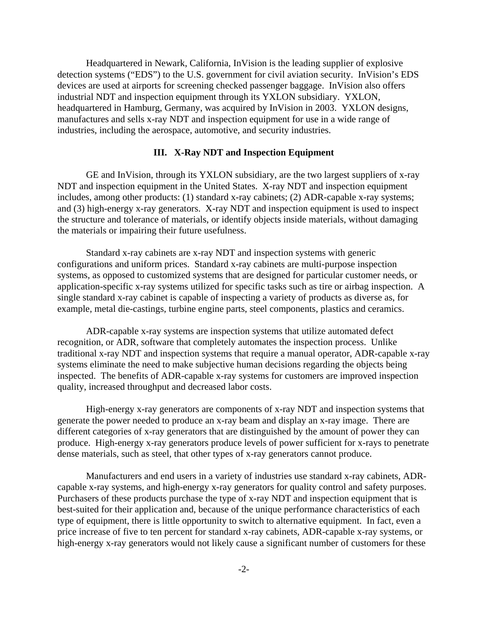Headquartered in Newark, California, InVision is the leading supplier of explosive detection systems ("EDS") to the U.S. government for civil aviation security. InVision's EDS devices are used at airports for screening checked passenger baggage. InVision also offers industrial NDT and inspection equipment through its YXLON subsidiary. YXLON, headquartered in Hamburg, Germany, was acquired by InVision in 2003. YXLON designs, manufactures and sells x-ray NDT and inspection equipment for use in a wide range of industries, including the aerospace, automotive, and security industries.

# **III. X-Ray NDT and Inspection Equipment**

GE and InVision, through its YXLON subsidiary, are the two largest suppliers of x-ray NDT and inspection equipment in the United States. X-ray NDT and inspection equipment includes, among other products: (1) standard x-ray cabinets; (2) ADR-capable x-ray systems; and (3) high-energy x-ray generators. X-ray NDT and inspection equipment is used to inspect the structure and tolerance of materials, or identify objects inside materials, without damaging the materials or impairing their future usefulness.

Standard x-ray cabinets are x-ray NDT and inspection systems with generic configurations and uniform prices. Standard x-ray cabinets are multi-purpose inspection systems, as opposed to customized systems that are designed for particular customer needs, or application-specific x-ray systems utilized for specific tasks such as tire or airbag inspection. A single standard x-ray cabinet is capable of inspecting a variety of products as diverse as, for example, metal die-castings, turbine engine parts, steel components, plastics and ceramics.

ADR-capable x-ray systems are inspection systems that utilize automated defect recognition, or ADR, software that completely automates the inspection process. Unlike traditional x-ray NDT and inspection systems that require a manual operator, ADR-capable x-ray systems eliminate the need to make subjective human decisions regarding the objects being inspected. The benefits of ADR-capable x-ray systems for customers are improved inspection quality, increased throughput and decreased labor costs.

High-energy x-ray generators are components of x-ray NDT and inspection systems that generate the power needed to produce an x-ray beam and display an x-ray image. There are different categories of x-ray generators that are distinguished by the amount of power they can produce. High-energy x-ray generators produce levels of power sufficient for x-rays to penetrate dense materials, such as steel, that other types of x-ray generators cannot produce.

Manufacturers and end users in a variety of industries use standard x-ray cabinets, ADRcapable x-ray systems, and high-energy x-ray generators for quality control and safety purposes. Purchasers of these products purchase the type of x-ray NDT and inspection equipment that is best-suited for their application and, because of the unique performance characteristics of each type of equipment, there is little opportunity to switch to alternative equipment. In fact, even a price increase of five to ten percent for standard x-ray cabinets, ADR-capable x-ray systems, or high-energy x-ray generators would not likely cause a significant number of customers for these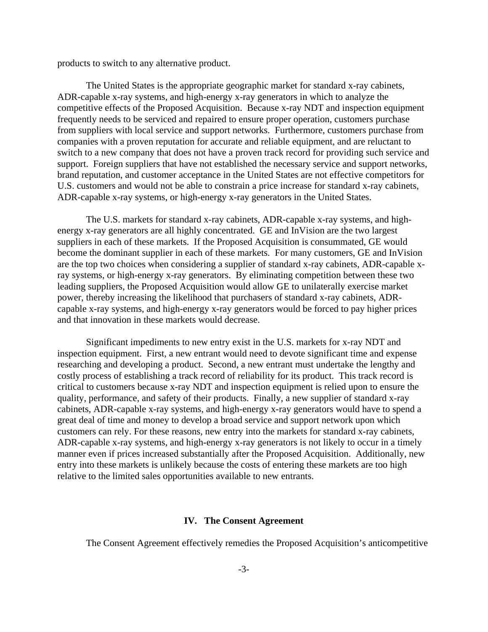products to switch to any alternative product.

The United States is the appropriate geographic market for standard x-ray cabinets, ADR-capable x-ray systems, and high-energy x-ray generators in which to analyze the competitive effects of the Proposed Acquisition. Because x-ray NDT and inspection equipment frequently needs to be serviced and repaired to ensure proper operation, customers purchase from suppliers with local service and support networks. Furthermore, customers purchase from companies with a proven reputation for accurate and reliable equipment, and are reluctant to switch to a new company that does not have a proven track record for providing such service and support. Foreign suppliers that have not established the necessary service and support networks, brand reputation, and customer acceptance in the United States are not effective competitors for U.S. customers and would not be able to constrain a price increase for standard x-ray cabinets, ADR-capable x-ray systems, or high-energy x-ray generators in the United States.

The U.S. markets for standard x-ray cabinets, ADR-capable x-ray systems, and highenergy x-ray generators are all highly concentrated. GE and InVision are the two largest suppliers in each of these markets. If the Proposed Acquisition is consummated, GE would become the dominant supplier in each of these markets. For many customers, GE and InVision are the top two choices when considering a supplier of standard x-ray cabinets, ADR-capable xray systems, or high-energy x-ray generators. By eliminating competition between these two leading suppliers, the Proposed Acquisition would allow GE to unilaterally exercise market power, thereby increasing the likelihood that purchasers of standard x-ray cabinets, ADRcapable x-ray systems, and high-energy x-ray generators would be forced to pay higher prices and that innovation in these markets would decrease.

Significant impediments to new entry exist in the U.S. markets for x-ray NDT and inspection equipment. First, a new entrant would need to devote significant time and expense researching and developing a product. Second, a new entrant must undertake the lengthy and costly process of establishing a track record of reliability for its product. This track record is critical to customers because x-ray NDT and inspection equipment is relied upon to ensure the quality, performance, and safety of their products. Finally, a new supplier of standard x-ray cabinets, ADR-capable x-ray systems, and high-energy x-ray generators would have to spend a great deal of time and money to develop a broad service and support network upon which customers can rely. For these reasons, new entry into the markets for standard x-ray cabinets, ADR-capable x-ray systems, and high-energy x-ray generators is not likely to occur in a timely manner even if prices increased substantially after the Proposed Acquisition. Additionally, new entry into these markets is unlikely because the costs of entering these markets are too high relative to the limited sales opportunities available to new entrants.

# **IV. The Consent Agreement**

The Consent Agreement effectively remedies the Proposed Acquisition's anticompetitive